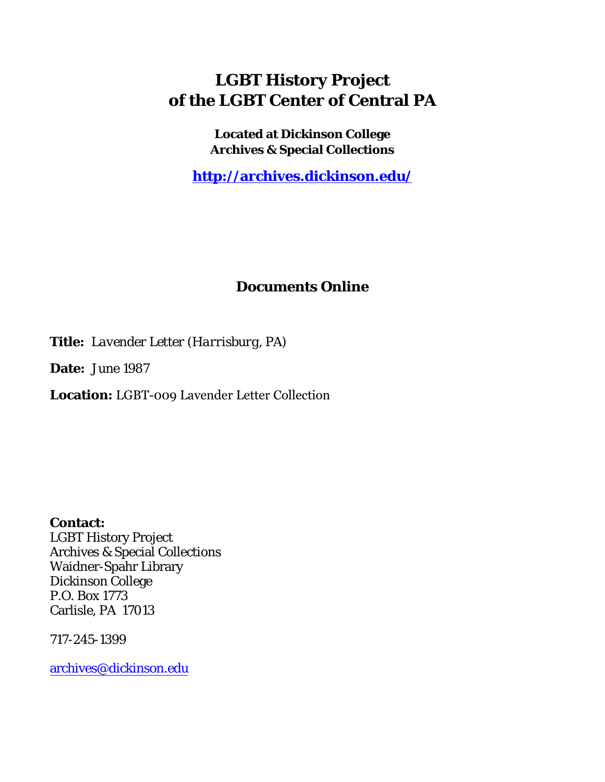## **LGBT History Project of the LGBT Center of Central PA**

**Located at Dickinson College Archives & Special Collections**

**<http://archives.dickinson.edu/>**

## **Documents Online**

**Title:** *Lavender Letter (Harrisburg, PA)*

**Date:** June 1987

**Location:** LGBT-009 Lavender Letter Collection

**Contact:**  LGBT History Project Archives & Special Collections Waidner-Spahr Library Dickinson College P.O. Box 1773 Carlisle, PA 17013

717-245-1399

[archives@dickinson.edu](mailto:archives@dickinson.edu)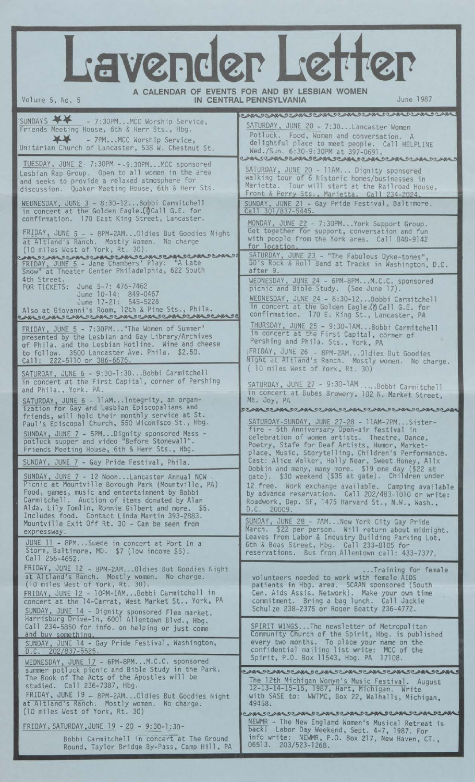## Lavender Letter

**A CALENDAR OF EVENTS FOR AND BY LESBIAN WOMEN**

| Volume 5, No. 5<br>IN CENTRAL PENNSYLVANIA<br>June 1987                                                                                                                                                                                                                                                    |                                                                                                                                                                                                                                                            |
|------------------------------------------------------------------------------------------------------------------------------------------------------------------------------------------------------------------------------------------------------------------------------------------------------------|------------------------------------------------------------------------------------------------------------------------------------------------------------------------------------------------------------------------------------------------------------|
|                                                                                                                                                                                                                                                                                                            | O ABR DE ABR DE ABR DE ABR DE ABR DE ABR DE ABR DE ABR                                                                                                                                                                                                     |
| SUNDAYS XX<br>- 7:30PMMCC Worship Service,<br>Friends Meeting House, 6th & Herr Sts., Hbg.<br><b>XX</b><br>- 7PMMCC Worship Service,<br>Unitarian Church of Lancaster, 538 W. Chestnut St.                                                                                                                 | SATURDAY, JUNE 20 - 7:30Lancaster Women<br>Potluck. Food, Women and conversation. A<br>delightful place to meet people. Call HELPLINE<br>Wed./Sun. 6:30-9:30PM at 397-0691.                                                                                |
| TUESDAY, JUNE 2 7:30PM - - 9:30PMMCC sponsored<br>Lesbian Rap Group. Open to all women in the area<br>and seeks to provide a relaxed atmosphere for<br>discussion. Quaker Meeting House, 6th & Herr Sts.                                                                                                   | CAM DEAM DEAM DEAM DEAM DEAM DEAM DEAM D<br>SATURDAY, JUNE 20 - 11AM Dignity sponsored<br>walking tour of 6 historic homes/businesses in<br>Marietta. Tour will start at the Railroad House,<br>Front & Perry Sts., Marietta. Call 234-2024.               |
| WEDNESDAY, JUNE 3 - 8:30-12Bobbi Carmitchell<br>in concert at the Golden Eagle. (?)Call G.E. for                                                                                                                                                                                                           | SUNDAY, JUNE 21 - Gay Pride Festival, Baltimore.<br>Call 301/837-5445.                                                                                                                                                                                     |
| confirmation. 170 East King Street, Lancaster.<br>FRIDAY, JUNE 5 - - 8PM-2AM Oldies But Goodies Night<br>at Altland's Ranch. Mostly Women. No charge<br>(10 miles West of York, Rt. 30).                                                                                                                   | MONDAY, JUNE 22 - 7:30PMYork Support Group.<br>Get together for support, conversation and fun<br>with people from the York area. Call 848-9142<br>for location.                                                                                            |
| FRIDAY, JUNE 5 - Jane Chambers' Play: "A Late<br>Snow" at Theater Center Philadelphia, 622 South                                                                                                                                                                                                           | SATURDAY, JUNE 23 - "The Fabulous Dyke-tones",<br>50's Rock & Roll Band at Tracks in Washington, D.C.<br>after 9.                                                                                                                                          |
| 4th Street.<br>FOR TICKETS: June 5-7: 476-7462<br>June 10-14: 849-0467<br>June 17-21: 545-5226<br>Also at Giovanni's Room, 12th & Pine Sts., Phila.<br>CAN SCAN SCAN SCAN SCAN SCAN SCAN SCANSS                                                                                                            | WEDNESDAY, JUNE 24 - 6PM-8PMM.C.C. sponsored<br>picnic and Bible Study. (See June 17).<br>WEDNESDAY, JUNE 24 - 8:30-12Bobbi Carmitchell<br>in concert at the Golden Eagle.(?) Call G.E. for<br>confirmation. 170 E. King St., Lancaster, PA                |
| FRIDAY, JUNE 5 - 7:30PM "The Women of Summer"<br>presented by the Lesbian and Gay Library/Archives<br>of Phila. and the Lesbian Hotline. Wine and cheese<br>to follow. 3500 Lancaster Ave. Phila. \$2.50.<br>Call: 222-5110 or 386-6676.                                                                   | THURSDAY, JUNE 25 - 9:30-1AMBobbi Carmitchell<br>in concert at the First Capital, corner of<br>Pershing and Phila. Sts., York, PA<br>FRIDAY, JUNE 26 - 8PM-2AMOldies But Goodies<br>Night at Altland's Ranch. Mostly women. No charge.                     |
| SATURDAY, JUNE 6 - 9:30-1:30Bobbi Carmitchell<br>in concert at the First Capital, corner of Pershing<br>and Phila., York. PA.                                                                                                                                                                              | ( 10 miles West of York, Rt. 30)<br>SATURDAY, JUNE 27 - 9:30-1AMBobbi Carmitchell<br>in concert at Bubes Brewery, 102 N. Market Street,                                                                                                                    |
| SATURDAY, JUNE 6 - 11AMIntegrity, an organ-<br>ization for Gay and Lesbian Episcopalians and<br>friends, will hold their monthly service at St.<br>Paul's Episcopal Church, 550 Wiconisco St., Hbg.                                                                                                        | Mt. Joy, PA<br><b>DEABLUEABLOCABLUEABLOCABLOCABLOCABLOCABLOCABL</b><br>SATURDAY-SUNDAY, JUNE 27-28 - 11AM-7PMSister-                                                                                                                                       |
| SUNDAY, JUNE 7 - 5PMDignity sponsored Mass -<br>potluck supper and video "Before Stonewall".<br>Friends Meeting House, 6th & Herr Sts., Hbg.                                                                                                                                                               | fire - 5th Anniversary Open-air festival in<br>celebration of women artists. Theatre, Dance,<br>Poetry, Stafe for Deaf Artists, Humor, Market-<br>place, Music, Storytelling, Children's Performance.                                                      |
| SUNDAY, JUNE 7 - Gay Pride Festival, Phila.                                                                                                                                                                                                                                                                | Cast: Alice Walker, Holly Near, Sweet Honey, Alix<br>Dobkin and many, many more. \$19 one day (\$22 at                                                                                                                                                     |
| SUNDAY, JUNE 7 - 12 NoonLancaster Annual NOW.<br>Picnic at Mountville Borough Park (Mountville, PA)<br>Food, games, music and entertainment by Bobbi<br>Carmitchell. Auction of items donated by Alan<br>Alda, Lily Tomlin, Ronnie Gilbert and more. \$5.<br>Includes food. Contact Linda Martin 393-2883. | gate). \$30 weekend (\$35 at gate). Children under<br>12 free. Work exchange available. Camping available<br>by advance reservation. Call 202/483-1010 or write:<br>Roadwork, Dep. SF, 1475 Harvard St., N.W., Wash.,<br>D.C. 20009.                       |
| Mountville Exit Off Rt. 30 - Can be seen from<br>expressway.<br>JUNE 11 - 8PMSuede in concert at Port In a<br>Storm, Baltimore, MD. \$7 (low income \$5).                                                                                                                                                  | SUNDAY, JUNE 28 - 7AMNew York City Gay Pride<br>March. \$22 per person. Will return about midnight.<br>Leaves from Labor & Industry Building Parking Lot,<br>6th & Boas Street, Hbg. Call 233-8105 for<br>reservations. Bus from Allentown call: 433-7377. |
| Call 256-4652.<br>FRIDAY, JUNE 12 - 8PM-2AM Oldies But Goodies Night<br>at Altland's Ranch. Mostly women. No charge.                                                                                                                                                                                       | Training for female<br>volunteers needed to work with female AIDS                                                                                                                                                                                          |
| (10 miles West of York, Rt. 30).<br>FRIDAY, JUNE 12 - 10PM-1AMBobbi Carmitchell in<br>concert at the 14-Carrat, West Market St., York, PA<br>SUNDAY, JUNE 14 - Dignity sponsored Flea market.                                                                                                              | patients in Hbg. area. SCAAN sponsored (South<br>Cen. Aids Assis. Network). Make your own time<br>commitment. Bring a bag lunch. Call Jackie<br>Schulze 238-2376 or Roger Beatty 236-4772.                                                                 |
| Harrisburg Drive-In, 6001 Allentown Blvd., Hbg.<br>Call 234-5850 for info. on helping or just come<br>and buy something.<br>SUNDAY, JUNE 14 - Gay Pride Festival, Washington,<br>$D.C. 202/837-5525.$<br>WEDNESDAY, JUNE 17 - 6PM-8PMM.C.C. sponsored                                                      | SPIRIT WINGSThe newsletter of Metropolitan<br>Community Church of the Spirit, Hbg. is published<br>every two months. To place your name on the<br>confidential mailing list write: MCC of the<br>Spirit, P.O. Box 11543, Hbg. PA 17108.                    |
| summer potluck picnic and Bible Study in the Park.<br>The Book of The Acts of the Apostles will be<br>studied. Call 236-7387, Hbg.<br>FRIDAY, JUNE 19 - 8PM-2AMOldies But Goodies Night<br>at Altland's Ranch. Mostly women. No charge.<br>(10 miles West of York, Rt. 30)                                 | <del>՟</del> ՟֎֎՟՟՟֎֎՟՟՟֎֎՟՟՟֎֎՟՟՟֎֎՟՟՟՟֎֎՟՟՟՟֎֎՟՟՟֎֎՟՟՟֎֎՟՟՟֎֎՟՟<br>The 12th Michigan Womyn's Music Festival. August<br>12-13-14-15-16, 1987, Hart, Michigan. Write<br>with SASE to: WWTMC, Box 22, Walhalls, Michigan,<br>49458.                         |
| FRIDAY, SATURDAY, JUNE 19 - 20 - 9:30-1:30-<br>Bobbi Carmitchell in concert at The Ground<br>Round, Taylor Bridge By-Pass, Camp Hill, PA                                                                                                                                                                   | ©™®™™®™®™®™®™®™®™®™®™®™®™®™®™®<br>NEWMR - The New England Women's Musical Retreat is<br>back! Labor Day Weekend, Sept. 4-7, 1987. For<br>info write: NEWMR, P.O. Box 217, New Haven, CT.,<br>06513. 203/523-1268.                                          |